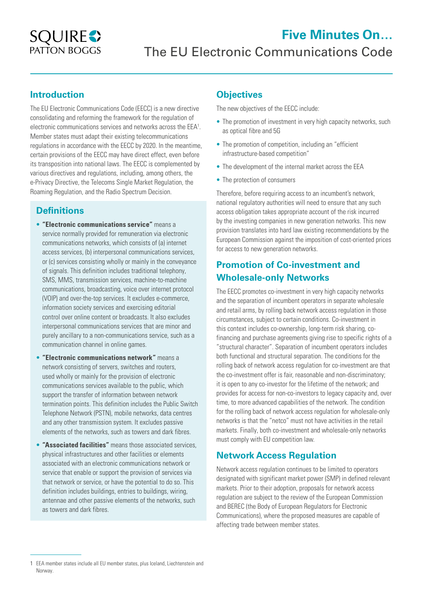

### **Introduction**

The EU Electronic Communications Code (EECC) is a new directive consolidating and reforming the framework for the regulation of electronic communications services and networks across the EEA<sup>1</sup>. Member states must adapt their existing telecommunications regulations in accordance with the EECC by 2020. In the meantime, certain provisions of the EECC may have direct effect, even before its transposition into national laws. The EECC is complemented by various directives and regulations, including, among others, the e-Privacy Directive, the Telecoms Single Market Regulation, the Roaming Regulation, and the Radio Spectrum Decision.

### **Definitions**

- **"Electronic communications service"** means a service normally provided for remuneration via electronic communications networks, which consists of (a) internet access services, (b) interpersonal communications services, or (c) services consisting wholly or mainly in the conveyance of signals. This definition includes traditional telephony, SMS, MMS, transmission services, machine-to-machine communications, broadcasting, voice over internet protocol (VOIP) and over-the-top services. It excludes e-commerce, information society services and exercising editorial control over online content or broadcasts. It also excludes interpersonal communications services that are minor and purely ancillary to a non-communications service, such as a communication channel in online games.
- **"Electronic communications network"** means a network consisting of servers, switches and routers, used wholly or mainly for the provision of electronic communications services available to the public, which support the transfer of information between network termination points. This definition includes the Public Switch Telephone Network (PSTN), mobile networks, data centres and any other transmission system. It excludes passive elements of the networks, such as towers and dark fibres.
- **"Associated facilities"** means those associated services, physical infrastructures and other facilities or elements associated with an electronic communications network or service that enable or support the provision of services via that network or service, or have the potential to do so. This definition includes buildings, entries to buildings, wiring, antennae and other passive elements of the networks, such as towers and dark fibres.

# **Objectives**

The new objectives of the EECC include:

- The promotion of investment in very high capacity networks, such as optical fibre and 5G
- The promotion of competition, including an "efficient infrastructure-based competition"
- The development of the internal market across the EEA
- The protection of consumers

Therefore, before requiring access to an incumbent's network, national regulatory authorities will need to ensure that any such access obligation takes appropriate account of the risk incurred by the investing companies in new generation networks. This new provision translates into hard law existing recommendations by the European Commission against the imposition of cost-oriented prices for access to new generation networks.

# **Promotion of Co-investment and Wholesale-only Networks**

The EECC promotes co-investment in very high capacity networks and the separation of incumbent operators in separate wholesale and retail arms, by rolling back network access regulation in those circumstances, subject to certain conditions. Co-investment in this context includes co-ownership, long-term risk sharing, cofinancing and purchase agreements giving rise to specific rights of a "structural character". Separation of incumbent operators includes both functional and structural separation. The conditions for the rolling back of network access regulation for co-investment are that the co-investment offer is fair, reasonable and non-discriminatory; it is open to any co-investor for the lifetime of the network; and provides for access for non-co-investors to legacy capacity and, over time, to more advanced capabilities of the network. The condition for the rolling back of network access regulation for wholesale-only networks is that the "netco" must not have activities in the retail markets. Finally, both co-investment and wholesale-only networks must comply with EU competition law.

## **Network Access Regulation**

Network access regulation continues to be limited to operators designated with significant market power (SMP) in defined relevant markets. Prior to their adoption, proposals for network access regulation are subject to the review of the European Commission and BEREC (the Body of European Regulators for Electronic Communications), where the proposed measures are capable of affecting trade between member states.

<sup>1</sup> EEA member states include all EU member states, plus Iceland, Liechtenstein and Norway.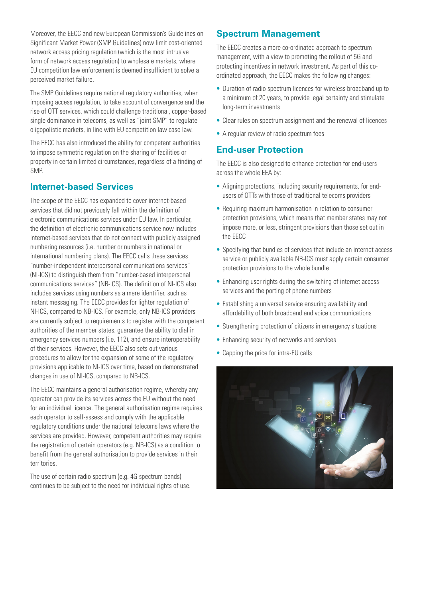Moreover, the EECC and new European Commission's Guidelines on Significant Market Power (SMP Guidelines) now limit cost-oriented network access pricing regulation (which is the most intrusive form of network access regulation) to wholesale markets, where EU competition law enforcement is deemed insufficient to solve a perceived market failure.

The SMP Guidelines require national regulatory authorities, when imposing access regulation, to take account of convergence and the rise of OTT services, which could challenge traditional, copper-based single dominance in telecoms, as well as "joint SMP" to regulate oligopolistic markets, in line with EU competition law case law.

The EECC has also introduced the ability for competent authorities to impose symmetric regulation on the sharing of facilities or property in certain limited circumstances, regardless of a finding of SMP.

### **Internet-based Services**

The scope of the EECC has expanded to cover internet-based services that did not previously fall within the definition of electronic communications services under EU law. In particular, the definition of electronic communications service now includes internet-based services that do not connect with publicly assigned numbering resources (i.e. number or numbers in national or international numbering plans). The EECC calls these services "number-independent interpersonal communications services" (NI-ICS) to distinguish them from "number-based interpersonal communications services" (NB-ICS). The definition of NI-ICS also includes services using numbers as a mere identifier, such as instant messaging. The EECC provides for lighter regulation of NI-ICS, compared to NB-ICS. For example, only NB-ICS providers are currently subject to requirements to register with the competent authorities of the member states, guarantee the ability to dial in emergency services numbers (i.e. 112), and ensure interoperability of their services. However, the EECC also sets out various procedures to allow for the expansion of some of the regulatory provisions applicable to NI-ICS over time, based on demonstrated changes in use of NI-ICS, compared to NB-ICS.

The EECC maintains a general authorisation regime, whereby any operator can provide its services across the EU without the need for an individual licence. The general authorisation regime requires each operator to self-assess and comply with the applicable regulatory conditions under the national telecoms laws where the services are provided. However, competent authorities may require the registration of certain operators (e.g. NB-ICS) as a condition to benefit from the general authorisation to provide services in their territories.

The use of certain radio spectrum (e.g. 4G spectrum bands) continues to be subject to the need for individual rights of use.

#### **Spectrum Management**

The EECC creates a more co-ordinated approach to spectrum management, with a view to promoting the rollout of 5G and protecting incentives in network investment. As part of this coordinated approach, the EECC makes the following changes:

- Duration of radio spectrum licences for wireless broadband up to a minimum of 20 years, to provide legal certainty and stimulate long-term investments
- Clear rules on spectrum assignment and the renewal of licences
- A regular review of radio spectrum fees

#### **End-user Protection**

The EECC is also designed to enhance protection for end-users across the whole EEA by:

- Aligning protections, including security requirements, for endusers of OTTs with those of traditional telecoms providers
- Requiring maximum harmonisation in relation to consumer protection provisions, which means that member states may not impose more, or less, stringent provisions than those set out in the EECC
- Specifying that bundles of services that include an internet access service or publicly available NB-ICS must apply certain consumer protection provisions to the whole bundle
- Enhancing user rights during the switching of internet access services and the porting of phone numbers
- Establishing a universal service ensuring availability and affordability of both broadband and voice communications
- Strengthening protection of citizens in emergency situations
- Enhancing security of networks and services
- Capping the price for intra-EU calls